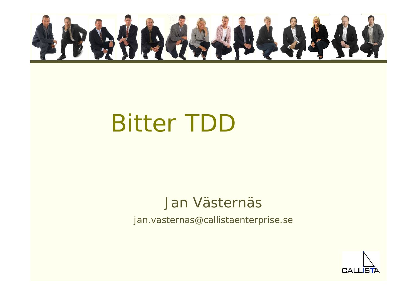

## Bitter TDD

#### Jan Västernäs

jan.vasternas@callistaenterprise.se

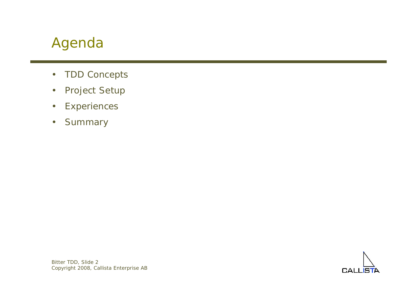#### Agenda

- •TDD Concepts
- •Project Setup
- •**Experiences**
- •**Summary**

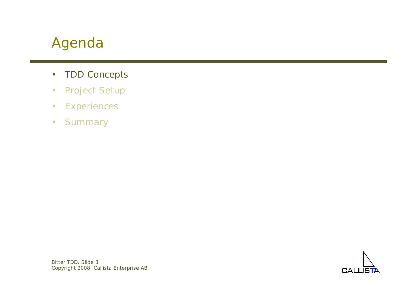#### Agenda

- •TDD Concepts
- •Project Setup
- •**Experiences**
- •**Summary**

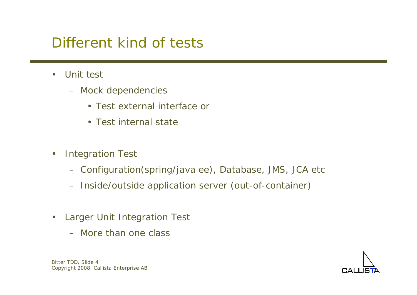#### Different kind of tests

- $\bullet$  Unit test
	- Mock dependencies
		- Test external interface or
		- Test internal state
- $\bullet$  Integration Test
	- Configuration(spring/java ee), Database, JMS, JCA etc
	- Inside/outside application server (out-of-container)
- $\bullet$  Larger Unit Integration Test
	- More than one class

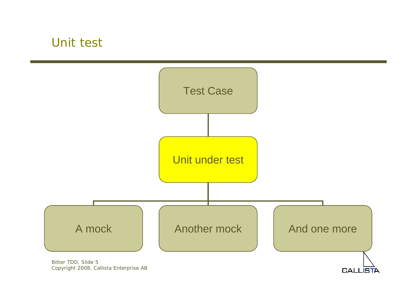#### Unit test



**CALLISTA** 

Bitter TDD, Slide 5 Copyright 2008, Callista Enterprise AB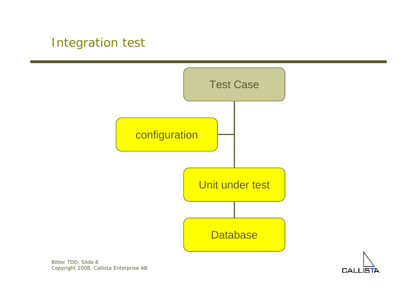#### Integration test





Bitter TDD, Slide 6 Copyright 2008, Callista Enterprise AB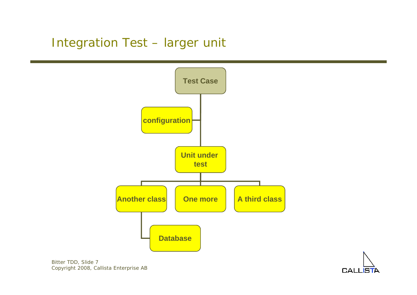#### Integration Test – larger unit



$$
\bigcap_{\text{CALLISTA}}
$$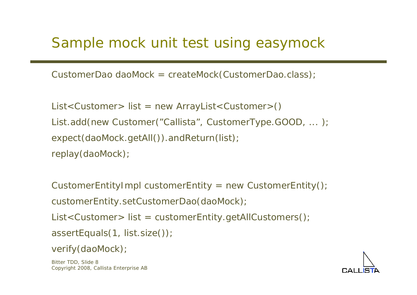#### Sample mock unit test using easymock

CustomerDao daoMock = *createMock*(CustomerDao.class);

List<Customer> list = new ArrayList<Customer>() List.add(new Customer("Callista", CustomerType.GOOD, ... ); *expect*(daoMock.getAll()).andReturn(list); *replay*(daoMock);

CustomerEntityImpl customerEntity = new CustomerEntity(); customerEntity.setCustomerDao(daoMock); List<Customer> list = customerEntity.getAllCustomers(); assertEquals(1, list.size());

```
verify(daoMock);
```
Bitter TDD, Slide 8 Copyright 2008, Callista Enterprise AB

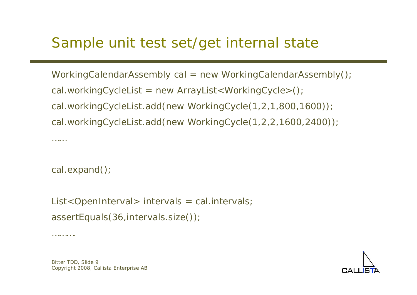#### Sample unit test set/get internal state

WorkingCalendarAssembly cal = new WorkingCalendarAssembly(); cal.workingCycleList = new ArrayList<WorkingCycle>(); cal.workingCycleList.add(new WorkingCycle(1,2,1,800,1600)); cal.workingCycleList.add(new WorkingCycle(1,2,2,1600,2400));

cal.expand();

List<OpenInterval> intervals = cal.intervals; assertEquals(36,intervals.size());

……….

………



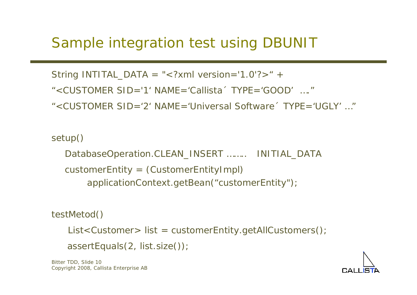#### Sample integration test using DBUNIT

String *INTITAL\_DATA* <sup>=</sup>"<?xml version='1.0'?>" +

"<CUSTOMER  $SID = '1'$  NAME = 'Callista' TYPE = 'GOOD' …."

"<CUSTOMER  $SID = '2'$  NAME='Universal Software' TYPE='UGLY' ..."

#### setup()

DatabaseOperation.CLEAN\_INSERT …….. INITIAL\_DATA customerEntity = (CustomerEntityImpl) applicationContext.getBean("customerEntity");

#### testMetod()

List<Customer> list = customerEntity.getAllCustomers();

```
assertEquals(2, list.size());
```
Bitter TDD, Slide 10 Copyright 2008, Callista Enterprise AB

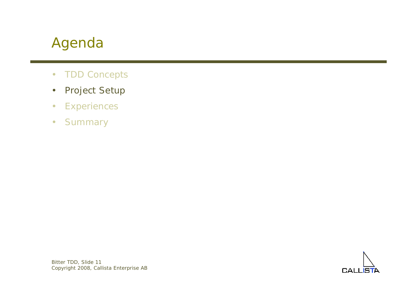#### Agenda

- •TDD Concepts
- •Project Setup
- •**Experiences**
- •**Summary**

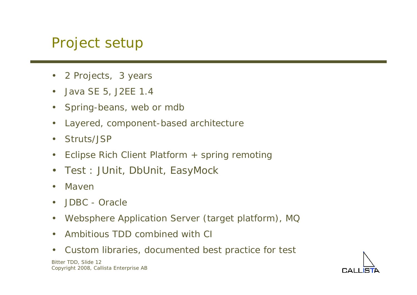#### Project setup

- •2 Projects, 3 years
- •Java SE 5, J2EE 1.4
- $\bullet$ Spring-beans, web or mdb
- $\bullet$ Layered, component-based architecture
- $\bullet$ Struts/JSP
- $\bullet$ Eclipse Rich Client Platform + spring remoting
- $\bullet$ *Test : JUnit, DbUnit, EasyMock*
- •Maven
- $\bullet$ JDBC - Oracle
- $\bullet$ Websphere Application Server (target platform), MQ
- $\bullet$ Ambitious TDD combined with CI
- $\bullet$ Custom libraries, documented best practice for test

Bitter TDD, Slide 12 Copyright 2008, Callista Enterprise AB

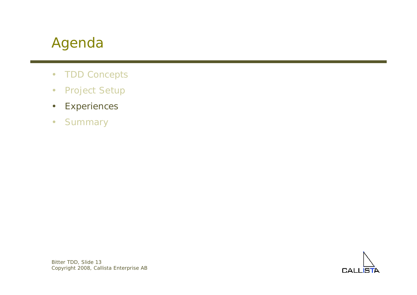#### Agenda

- •TDD Concepts
- •Project Setup
- •**Experiences**
- •**Summary**

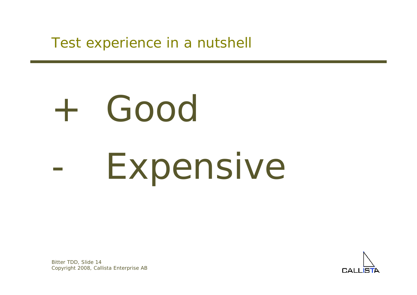Test experience in a nutshell

# + Good -Expensive

Bitter TDD, Slide 14 Copyright 2008, Callista Enterprise AB

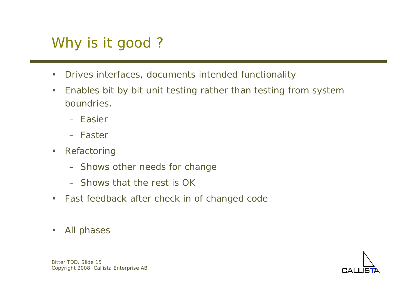## Why is it good ?

- $\bullet$ Drives interfaces, documents intended functionality
- $\bullet$  Enables bit by bit unit testing rather than testing from system boundries.
	- Easier
	- Faster
- $\bullet$  Refactoring
	- Shows other needs for change
	- Shows that the rest is OK
- •Fast feedback after check in of changed code
- $\bullet$ All phases

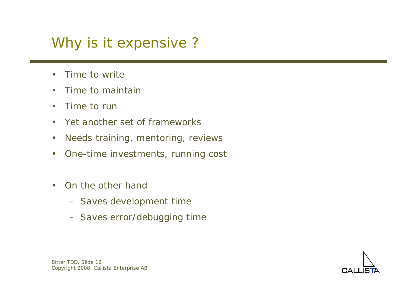#### Why is it expensive ?

- $\bullet$ Time to write
- •Time to maintain
- $\bullet$ Time to run
- $\bullet$ Yet another set of frameworks
- $\bullet$ Needs training, mentoring, reviews
- $\bullet$ One-time investments, running cost
- • On the other hand
	- Saves development time
	- Saves error/debugging time



Bitter TDD, Slide 16 Copyright 2008, Callista Enterprise AB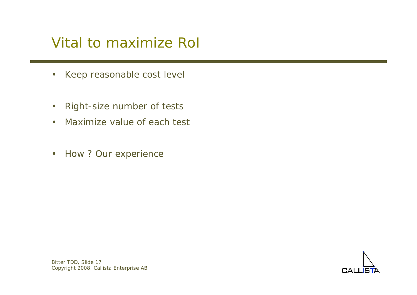#### Vital to maximize RoI

- •Keep reasonable cost level
- •Right-size number of tests
- •Maximize value of each test
- •How ? Our experience

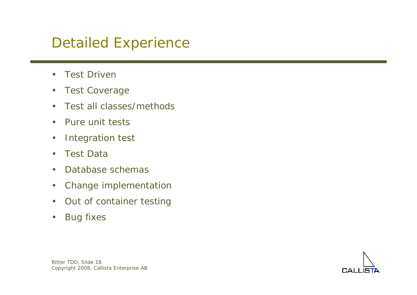#### Detailed Experience

- $\bullet$ Test Driven
- $\bullet$ Test Coverage
- •Test all classes/methods
- $\bullet$ Pure unit tests
- $\bullet$ Integration test
- •Test Data
- $\bullet$ Database schemas
- $\bullet$ Change implementation
- $\bullet$ Out of container testing
- $\bullet$ Bug fixes

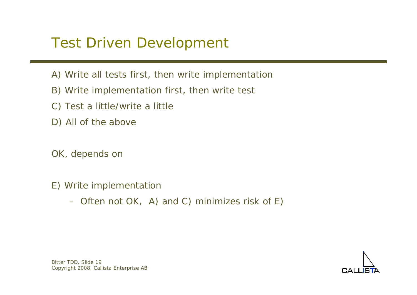#### Test Driven Development

- A) Write all tests first, then write implementation
- B) Write implementation first, then write test
- C) Test a little/write a little
- D) All of the above
- OK, depends on
- E) Write implementation
	- Often not OK, A) and C) minimizes risk of E)

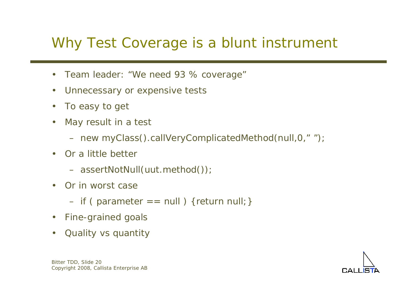#### Why Test Coverage is a blunt instrument

- $\bullet$ Team leader: "We need 93 % coverage"
- $\bullet$ Unnecessary or expensive tests
- $\bullet$ To easy to get
- $\bullet$  May result in a test
	- new myClass().callVeryComplicatedMethod(null,0," ");
- • Or a little better
	- assertNotNull(uut.method());
- Or in worst case
	- if ( parameter == null ) {return null;}
- •Fine-grained goals
- •Quality vs quantity

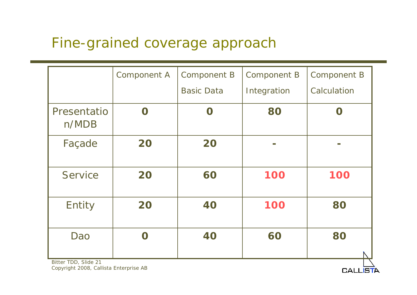#### Fine-grained coverage approach

|                      | <b>Component A</b>  | <b>Component B</b> | <b>Component B</b> | <b>Component B</b> |
|----------------------|---------------------|--------------------|--------------------|--------------------|
|                      |                     | <b>Basic Data</b>  | Integration        | Calculation        |
| Presentatio<br>n/MDB | $\Omega$            | $\Omega$           | 80                 | $\Omega$           |
| Façade               | 20                  | 20                 |                    | <b>The State</b>   |
| Service              | 20                  | 60                 | 100                | 100                |
| Entity               | 20                  | 40                 | 100                | 80                 |
| Dao                  | $\boldsymbol{\cap}$ | 40                 | 60                 | 80                 |

**CALLE**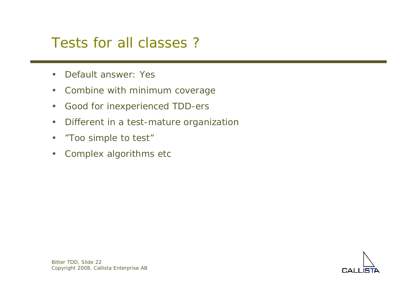#### Tests for all classes ?

- $\bullet$ Default answer: Yes
- $\bullet$ Combine with minimum coverage
- $\bullet$ Good for inexperienced TDD-ers
- $\bullet$ Different in a test-mature organization
- •"Too simple to test"
- $\bullet$ Complex algorithms etc

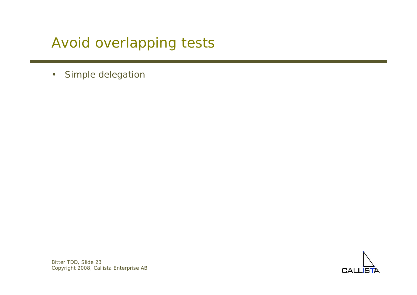#### Avoid overlapping tests

 $\bullet$ Simple delegation



Bitter TDD, Slide 23 Copyright 2008, Callista Enterprise AB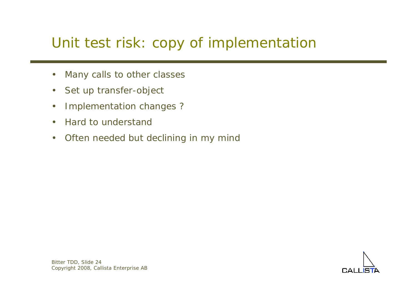#### Unit test risk: copy of implementation

- $\bullet$ Many calls to other classes
- •Set up transfer-object
- $\bullet$ Implementation changes ?
- $\bullet$ Hard to understand
- $\bullet$ Often needed but declining in my mind

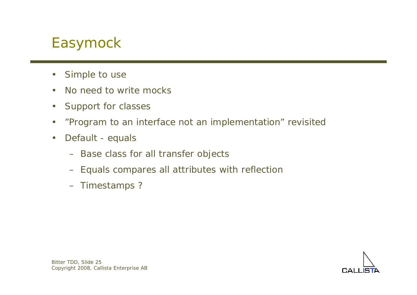#### Easymock

- $\bullet$ Simple to use
- •No need to write mocks
- $\bullet$ Support for classes
- •"Program to an interface not an implementation" revisited
- $\bullet$  Default - equals
	- Base class for all transfer objects
	- Equals compares all attributes with reflection
	- Timestamps ?

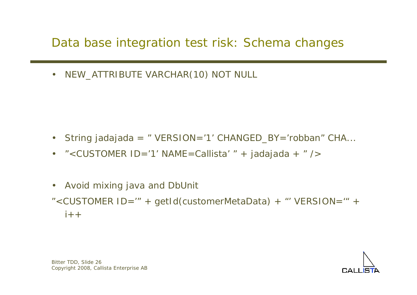#### Data base integration test risk: Schema changes

•NEW\_ATTRIBUTE VARCHAR(10) NOT NULL

- $\bullet$ String jadajada = " VERSION='1' CHANGED\_BY='robban" CHA...
- $\bullet$ "<CUSTOMER ID='1' NAME=Callista' " + jadajada + " />
- $\bullet$ Avoid mixing java and DbUnit
- "<CUSTOMER ID='" + getId(customerMetaData) + "' VERSION='" +  $i++$

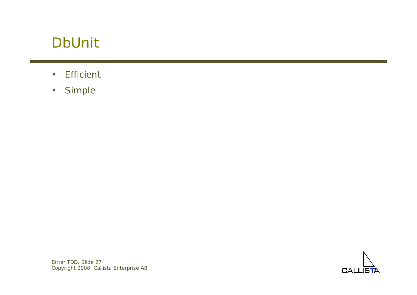#### DbUnit

- •**Efficient**
- •Simple

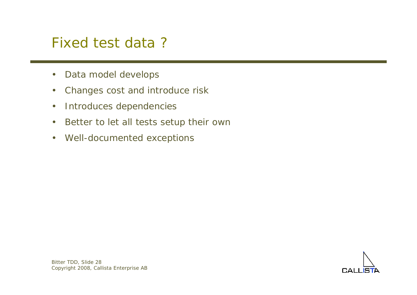#### Fixed test data ?

- $\bullet$ Data model develops
- $\bullet$ Changes cost and introduce risk
- $\bullet$ Introduces dependencies
- $\bullet$ Better to let all tests setup their own
- •Well-documented exceptions

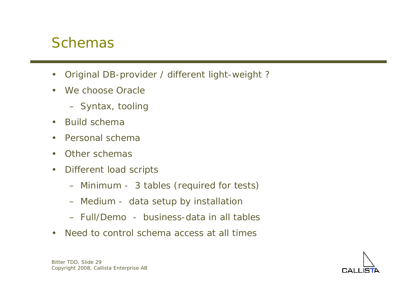#### Schemas

- $\bullet$ Original DB-provider / different light-weight ?
- •We choose Oracle
	- Syntax, tooling
- •Build schema
- $\bullet$ Personal schema
- •Other schemas
- $\bullet$  Different load scripts
	- Minimum 3 tables (required for tests)
	- Medium data setup by installation
	- Full/Demo business-data in all tables
- •Need to control schema access at all times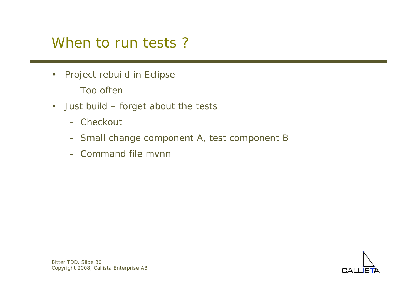#### When to run tests?

- $\bullet$  Project rebuild in Eclipse
	- Too often
- • Just build – forget about the tests
	- Checkout
	- Small change component A, test component B
	- Command file mvnn

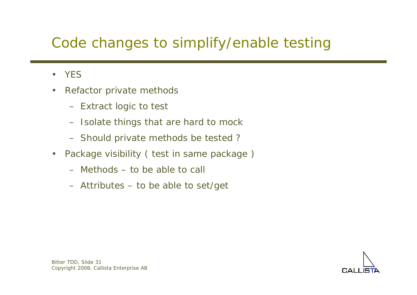#### Code changes to simplify/enable testing

- $\bullet$ YES
- • Refactor private methods
	- Extract logic to test
	- –Isolate things that are hard to mock
	- Should private methods be tested ?
- $\bullet$  Package visibility ( test in same package )
	- Methods to be able to call
	- Attributes to be able to set/get

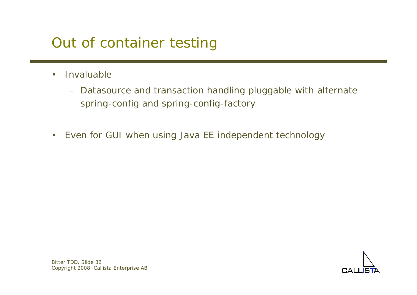#### Out of container testing

- $\bullet$  Invaluable
	- Datasource and transaction handling pluggable with alternate spring-config and spring-config-factory
- $\bullet$ Even for GUI when using Java EE independent technology

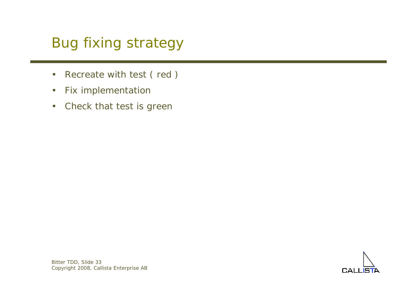## Bug fixing strategy

- •Recreate with test ( red )
- $\bullet$ Fix implementation
- $\bullet$ Check that test is green

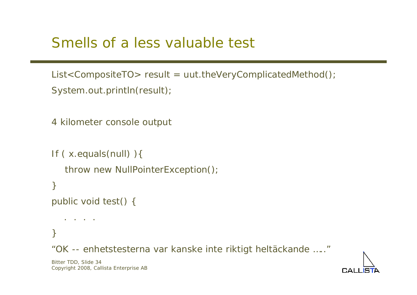#### Smells of a less valuable test

```
List<CompositeTO> result = uut.theVeryComplicatedMethod();
System.out.println(result);
```

```
4 kilometer console output
```

```
If ( x.equals(null) ){
   throw new NullPointerException();
}
public void test() {
   . . . .
```
}

"OK -- enhetstesterna var kanske inte riktigt heltäckande ….."

Bitter TDD, Slide 34 Copyright 2008, Callista Enterprise AB

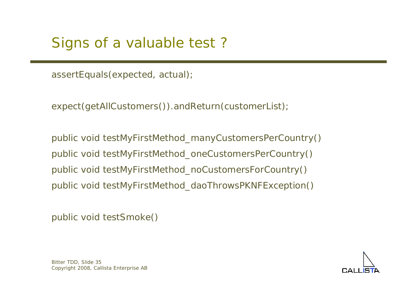assertEquals(expected, actual);

expect(getAllCustomers()).andReturn(customerList);

public void testMyFirstMethod\_manyCustomersPerCountry() public void testMyFirstMethod\_oneCustomersPerCountry() public void testMyFirstMethod\_noCustomersForCountry() public void testMyFirstMethod\_daoThrowsPKNFException()

public void testSmoke()



Bitter TDD, Slide 35 Copyright 2008, Callista Enterprise AB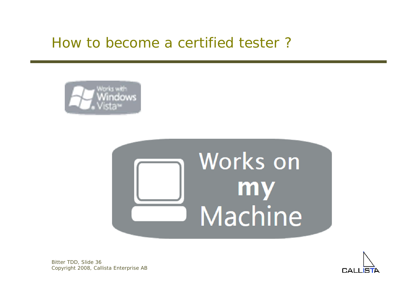#### How to become a certified tester ?







Bitter TDD, Slide 36 Copyright 2008, Callista Enterprise AB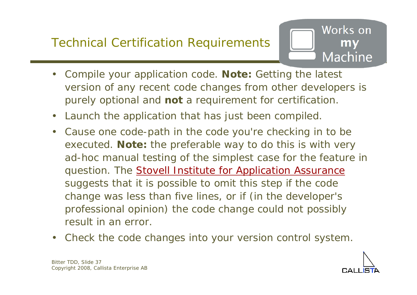#### Technical Certification Requirements



- $\bullet$  Compile your application code. **Note:** Getting the latest version of any recent code changes from other developers is purely optional and **not** a requirement for certification.
- $\bullet$ Launch the application that has just been compiled.
- $\bullet$  Cause one code-path in the code you're checking in to be executed. **Note:** the preferable way to do this is with very ad-hoc manual testing of the simplest case for the feature in question. The **[Stovell Institute for Application Assurance](http://www.paulstovell.net/)** suggests that it is possible to omit this step if the code change was less than five lines, or if (in the developer's professional opinion) the code change *could not possibly result in an error*.
- $\bullet$ Check the code changes into your version control system.

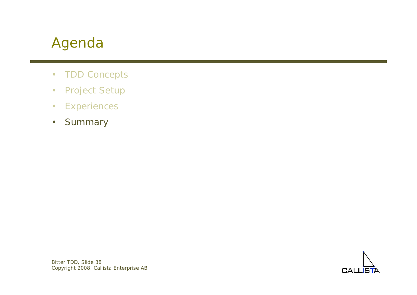#### Agenda

- •TDD Concepts
- •Project Setup
- •**Experiences**
- •**Summary**

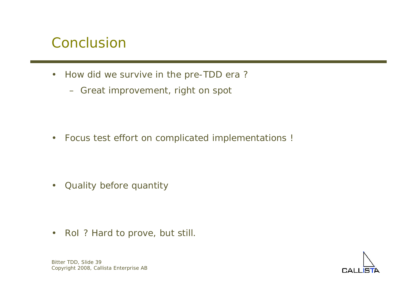#### Conclusion

- $\bullet$  How did we survive in the pre-TDD era ?
	- Great improvement, right on spot

•Focus test effort on complicated implementations !

 $\bullet$ Quality before quantity

 $\bullet$ RoI ? Hard to prove, but still.



Bitter TDD, Slide 39 Copyright 2008, Callista Enterprise AB